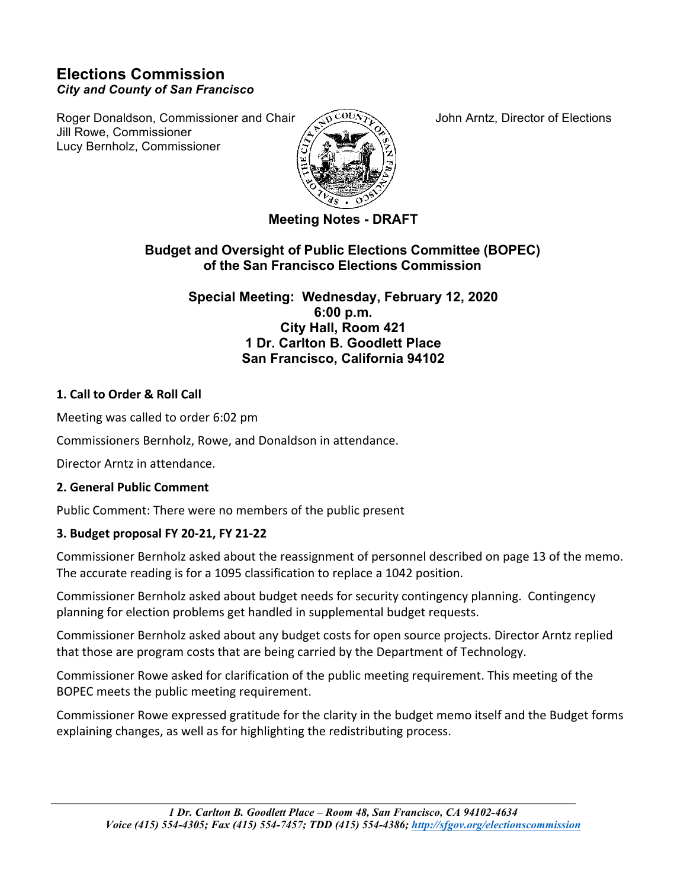# **Elections Commission** *City and County of San Francisco*

Roger Donaldson, Commissioner and Chair  $\sqrt{2}$   $\frac{COLN}{N}$  John Arntz, Director of Elections Jill Rowe, Commissioner Lucy Bernholz, Commissioner



**Meeting Notes - DRAFT**

# **Budget and Oversight of Public Elections Committee (BOPEC) of the San Francisco Elections Commission**

**Special Meeting: Wednesday, February 12, 2020 6:00 p.m. City Hall, Room 421 1 Dr. Carlton B. Goodlett Place San Francisco, California 94102**

#### **1. Call to Order & Roll Call**

Meeting was called to order 6:02 pm

Commissioners Bernholz, Rowe, and Donaldson in attendance.

Director Arntz in attendance.

#### **2. General Public Comment**

Public Comment: There were no members of the public present

#### **3. Budget proposal FY 20-21, FY 21-22**

Commissioner Bernholz asked about the reassignment of personnel described on page 13 of the memo. The accurate reading is for a 1095 classification to replace a 1042 position.

Commissioner Bernholz asked about budget needs for security contingency planning. Contingency planning for election problems get handled in supplemental budget requests.

Commissioner Bernholz asked about any budget costs for open source projects. Director Arntz replied that those are program costs that are being carried by the Department of Technology.

Commissioner Rowe asked for clarification of the public meeting requirement. This meeting of the BOPEC meets the public meeting requirement.

Commissioner Rowe expressed gratitude for the clarity in the budget memo itself and the Budget forms explaining changes, as well as for highlighting the redistributing process.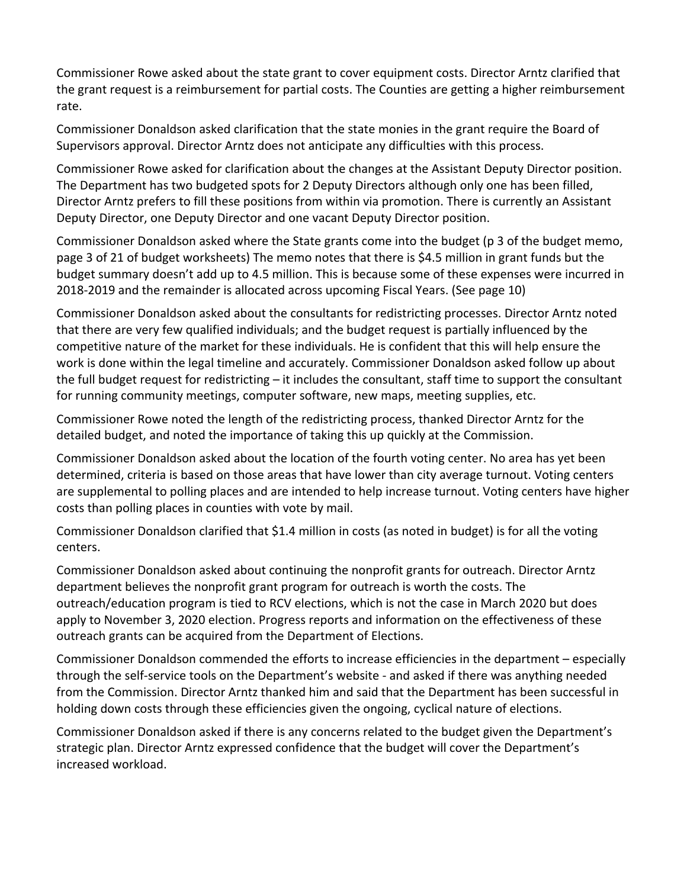Commissioner Rowe asked about the state grant to cover equipment costs. Director Arntz clarified that the grant request is a reimbursement for partial costs. The Counties are getting a higher reimbursement rate. 

Commissioner Donaldson asked clarification that the state monies in the grant require the Board of Supervisors approval. Director Arntz does not anticipate any difficulties with this process.

Commissioner Rowe asked for clarification about the changes at the Assistant Deputy Director position. The Department has two budgeted spots for 2 Deputy Directors although only one has been filled, Director Arntz prefers to fill these positions from within via promotion. There is currently an Assistant Deputy Director, one Deputy Director and one vacant Deputy Director position.

Commissioner Donaldson asked where the State grants come into the budget (p 3 of the budget memo, page 3 of 21 of budget worksheets) The memo notes that there is \$4.5 million in grant funds but the budget summary doesn't add up to 4.5 million. This is because some of these expenses were incurred in 2018-2019 and the remainder is allocated across upcoming Fiscal Years. (See page 10)

Commissioner Donaldson asked about the consultants for redistricting processes. Director Arntz noted that there are very few qualified individuals; and the budget request is partially influenced by the competitive nature of the market for these individuals. He is confident that this will help ensure the work is done within the legal timeline and accurately. Commissioner Donaldson asked follow up about the full budget request for redistricting  $-$  it includes the consultant, staff time to support the consultant for running community meetings, computer software, new maps, meeting supplies, etc.

Commissioner Rowe noted the length of the redistricting process, thanked Director Arntz for the detailed budget, and noted the importance of taking this up quickly at the Commission.

Commissioner Donaldson asked about the location of the fourth voting center. No area has yet been determined, criteria is based on those areas that have lower than city average turnout. Voting centers are supplemental to polling places and are intended to help increase turnout. Voting centers have higher costs than polling places in counties with vote by mail.

Commissioner Donaldson clarified that \$1.4 million in costs (as noted in budget) is for all the voting centers. 

Commissioner Donaldson asked about continuing the nonprofit grants for outreach. Director Arntz department believes the nonprofit grant program for outreach is worth the costs. The outreach/education program is tied to RCV elections, which is not the case in March 2020 but does apply to November 3, 2020 election. Progress reports and information on the effectiveness of these outreach grants can be acquired from the Department of Elections.

Commissioner Donaldson commended the efforts to increase efficiencies in the department – especially through the self-service tools on the Department's website - and asked if there was anything needed from the Commission. Director Arntz thanked him and said that the Department has been successful in holding down costs through these efficiencies given the ongoing, cyclical nature of elections.

Commissioner Donaldson asked if there is any concerns related to the budget given the Department's strategic plan. Director Arntz expressed confidence that the budget will cover the Department's increased workload.